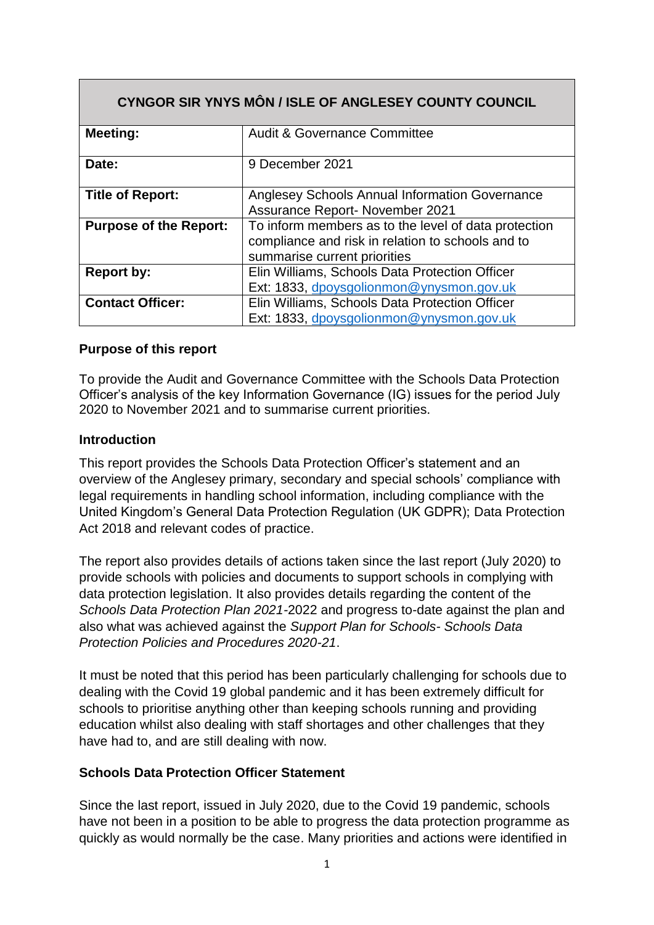| CYNGOR SIR YNYS MÔN / ISLE OF ANGLESEY COUNTY COUNCIL |                                                                                                                                           |  |  |
|-------------------------------------------------------|-------------------------------------------------------------------------------------------------------------------------------------------|--|--|
| <b>Meeting:</b>                                       | <b>Audit &amp; Governance Committee</b>                                                                                                   |  |  |
| Date:                                                 | 9 December 2021                                                                                                                           |  |  |
| <b>Title of Report:</b>                               | Anglesey Schools Annual Information Governance<br><b>Assurance Report- November 2021</b>                                                  |  |  |
| <b>Purpose of the Report:</b>                         | To inform members as to the level of data protection<br>compliance and risk in relation to schools and to<br>summarise current priorities |  |  |
| <b>Report by:</b>                                     | Elin Williams, Schools Data Protection Officer<br>Ext: 1833, dpoysgolionmon@ynysmon.gov.uk                                                |  |  |
| <b>Contact Officer:</b>                               | Elin Williams, Schools Data Protection Officer<br>Ext: 1833, dpoysgolionmon@ynysmon.gov.uk                                                |  |  |

#### **Purpose of this report**

To provide the Audit and Governance Committee with the Schools Data Protection Officer's analysis of the key Information Governance (IG) issues for the period July 2020 to November 2021 and to summarise current priorities.

#### **Introduction**

This report provides the Schools Data Protection Officer's statement and an overview of the Anglesey primary, secondary and special schools' compliance with legal requirements in handling school information, including compliance with the United Kingdom's General Data Protection Regulation (UK GDPR); Data Protection Act 2018 and relevant codes of practice.

The report also provides details of actions taken since the last report (July 2020) to provide schools with policies and documents to support schools in complying with data protection legislation. It also provides details regarding the content of the *Schools Data Protection Plan 2021-*2022 and progress to-date against the plan and also what was achieved against the *Support Plan for Schools- Schools Data Protection Policies and Procedures 2020-21*.

It must be noted that this period has been particularly challenging for schools due to dealing with the Covid 19 global pandemic and it has been extremely difficult for schools to prioritise anything other than keeping schools running and providing education whilst also dealing with staff shortages and other challenges that they have had to, and are still dealing with now.

#### **Schools Data Protection Officer Statement**

Since the last report, issued in July 2020, due to the Covid 19 pandemic, schools have not been in a position to be able to progress the data protection programme as quickly as would normally be the case. Many priorities and actions were identified in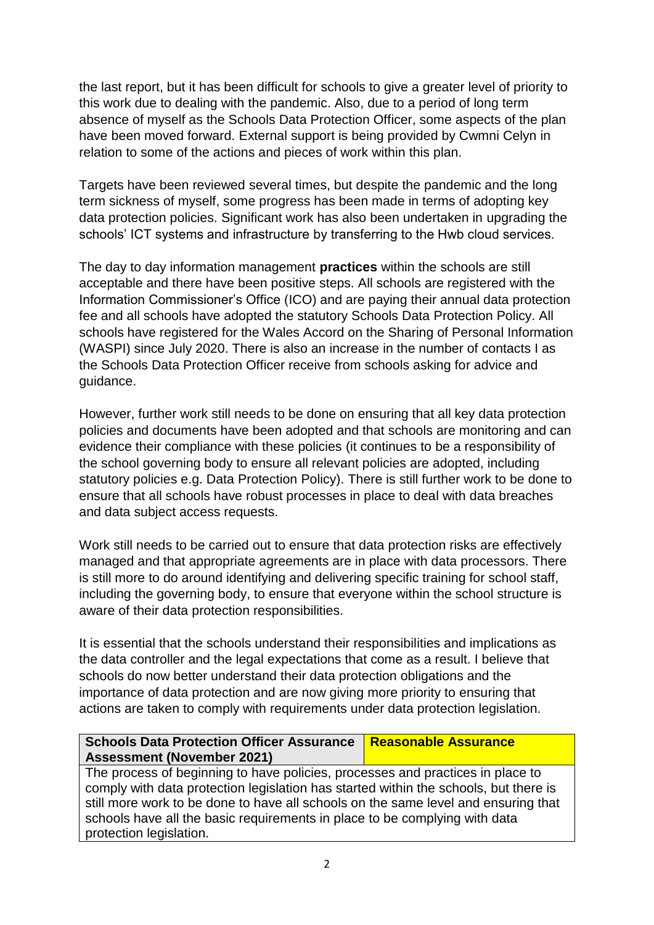the last report, but it has been difficult for schools to give a greater level of priority to this work due to dealing with the pandemic. Also, due to a period of long term absence of myself as the Schools Data Protection Officer, some aspects of the plan have been moved forward. External support is being provided by Cwmni Celyn in relation to some of the actions and pieces of work within this plan.

Targets have been reviewed several times, but despite the pandemic and the long term sickness of myself, some progress has been made in terms of adopting key data protection policies. Significant work has also been undertaken in upgrading the schools' ICT systems and infrastructure by transferring to the Hwb cloud services.

The day to day information management **practices** within the schools are still acceptable and there have been positive steps. All schools are registered with the Information Commissioner's Office (ICO) and are paying their annual data protection fee and all schools have adopted the statutory Schools Data Protection Policy. All schools have registered for the Wales Accord on the Sharing of Personal Information (WASPI) since July 2020. There is also an increase in the number of contacts I as the Schools Data Protection Officer receive from schools asking for advice and guidance.

However, further work still needs to be done on ensuring that all key data protection policies and documents have been adopted and that schools are monitoring and can evidence their compliance with these policies (it continues to be a responsibility of the school governing body to ensure all relevant policies are adopted, including statutory policies e.g. Data Protection Policy). There is still further work to be done to ensure that all schools have robust processes in place to deal with data breaches and data subject access requests.

Work still needs to be carried out to ensure that data protection risks are effectively managed and that appropriate agreements are in place with data processors. There is still more to do around identifying and delivering specific training for school staff, including the governing body, to ensure that everyone within the school structure is aware of their data protection responsibilities.

It is essential that the schools understand their responsibilities and implications as the data controller and the legal expectations that come as a result. I believe that schools do now better understand their data protection obligations and the importance of data protection and are now giving more priority to ensuring that actions are taken to comply with requirements under data protection legislation.

#### **Schools Data Protection Officer Assurance Assessment (November 2021) Reasonable Assurance**

The process of beginning to have policies, processes and practices in place to comply with data protection legislation has started within the schools, but there is still more work to be done to have all schools on the same level and ensuring that schools have all the basic requirements in place to be complying with data protection legislation.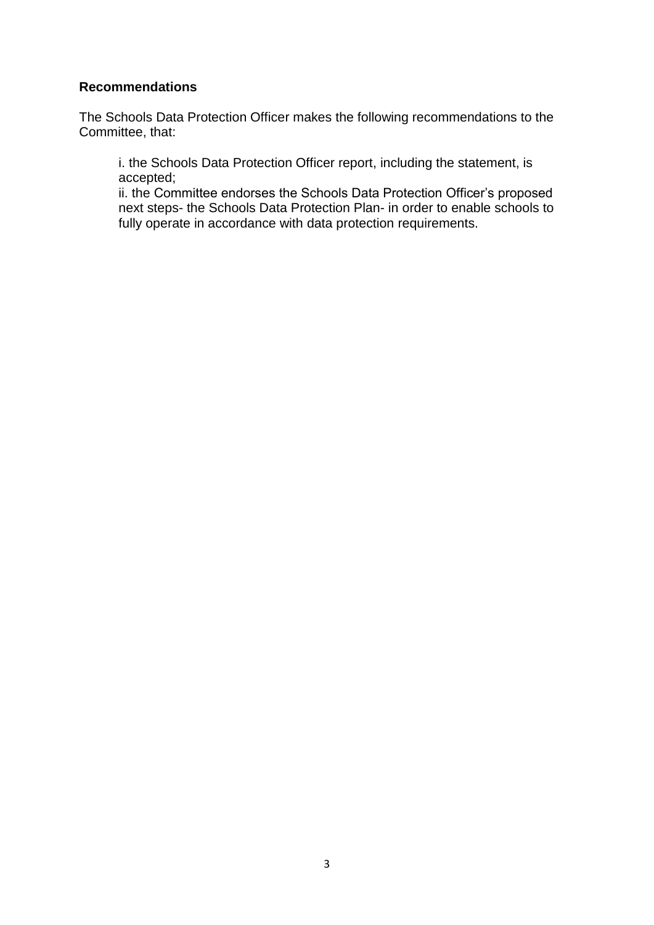#### **Recommendations**

The Schools Data Protection Officer makes the following recommendations to the Committee, that:

i. the Schools Data Protection Officer report, including the statement, is accepted;

ii. the Committee endorses the Schools Data Protection Officer's proposed next steps- the Schools Data Protection Plan- in order to enable schools to fully operate in accordance with data protection requirements.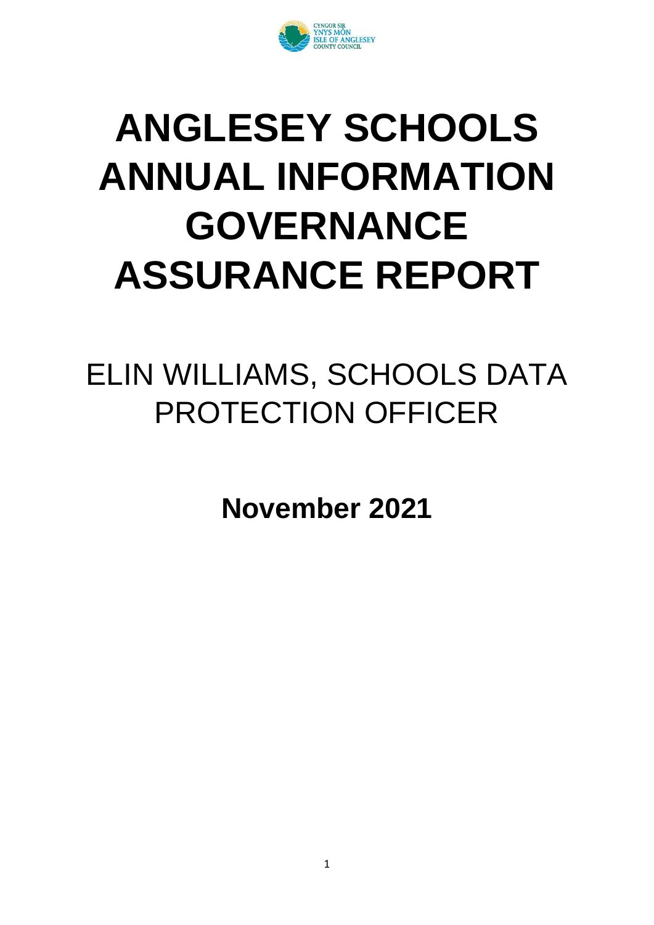

# **ANGLESEY SCHOOLS ANNUAL INFORMATION GOVERNANCE ASSURANCE REPORT**

## ELIN WILLIAMS, SCHOOLS DATA PROTECTION OFFICER

**November 2021**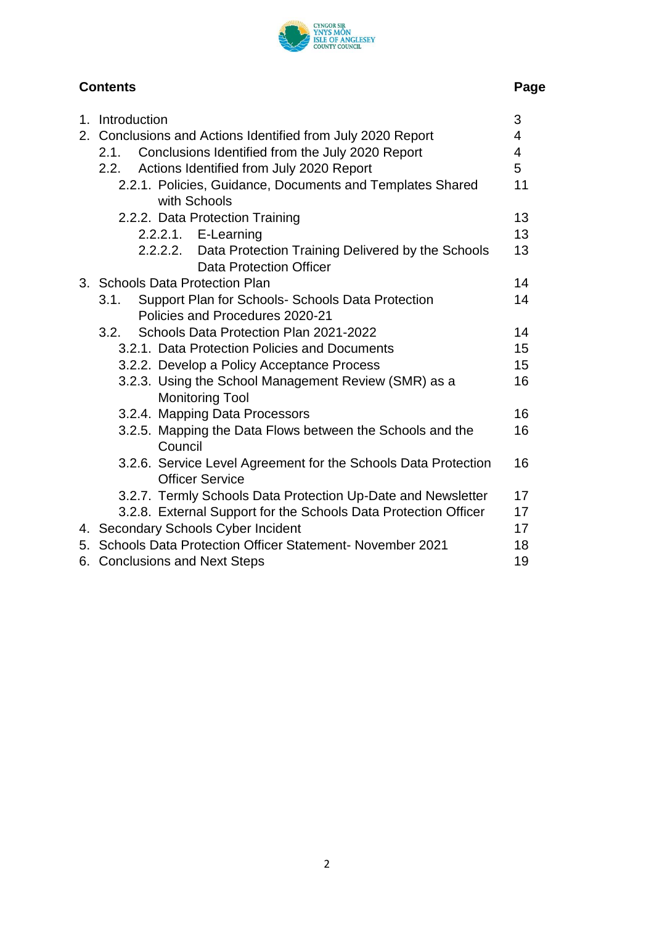

### **Contents Page**

| 1. | Introduction                                                    | 3  |
|----|-----------------------------------------------------------------|----|
|    | 2. Conclusions and Actions Identified from July 2020 Report     | 4  |
|    | Conclusions Identified from the July 2020 Report<br>2.1.        | 4  |
|    | Actions Identified from July 2020 Report<br>2.2.                | 5  |
|    | 2.2.1. Policies, Guidance, Documents and Templates Shared       | 11 |
|    | with Schools                                                    |    |
|    | 2.2.2. Data Protection Training                                 | 13 |
|    | 2.2.2.1. E-Learning                                             | 13 |
|    | 2.2.2.2. Data Protection Training Delivered by the Schools      | 13 |
|    | <b>Data Protection Officer</b>                                  |    |
|    | 3. Schools Data Protection Plan                                 | 14 |
|    | Support Plan for Schools- Schools Data Protection<br>3.1.       | 14 |
|    | Policies and Procedures 2020-21                                 |    |
|    | Schools Data Protection Plan 2021-2022<br>3.2.                  | 14 |
|    | 3.2.1. Data Protection Policies and Documents                   | 15 |
|    | 3.2.2. Develop a Policy Acceptance Process                      | 15 |
|    | 3.2.3. Using the School Management Review (SMR) as a            | 16 |
|    | <b>Monitoring Tool</b>                                          |    |
|    | 3.2.4. Mapping Data Processors                                  | 16 |
|    | 3.2.5. Mapping the Data Flows between the Schools and the       | 16 |
|    | Council                                                         |    |
|    | 3.2.6. Service Level Agreement for the Schools Data Protection  | 16 |
|    | <b>Officer Service</b>                                          |    |
|    | 3.2.7. Termly Schools Data Protection Up-Date and Newsletter    | 17 |
|    | 3.2.8. External Support for the Schools Data Protection Officer | 17 |
|    | 4. Secondary Schools Cyber Incident                             | 17 |
|    | 5. Schools Data Protection Officer Statement-November 2021      | 18 |
|    | 6. Conclusions and Next Steps                                   | 19 |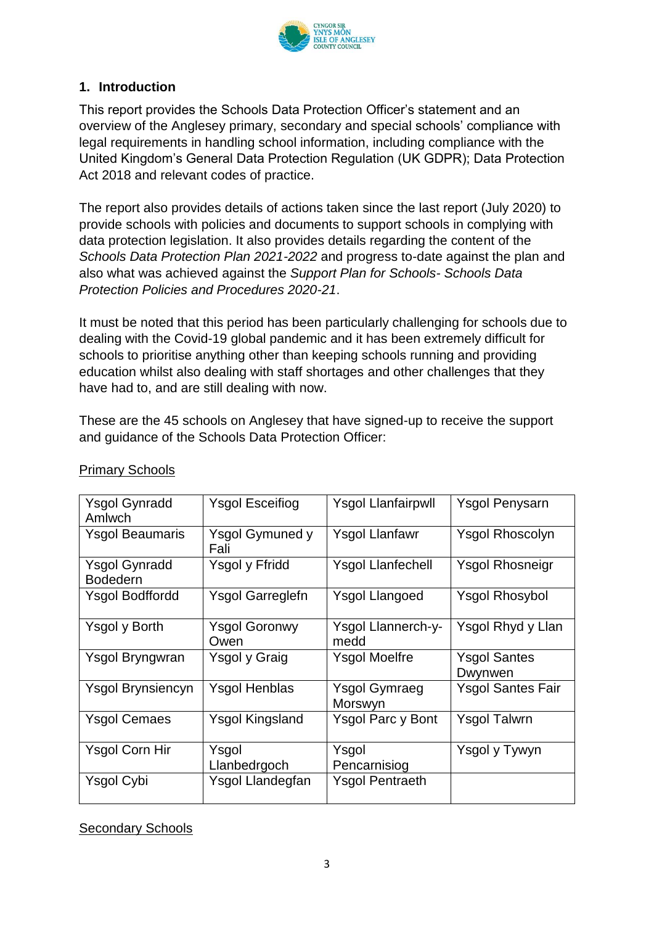

#### **1. Introduction**

This report provides the Schools Data Protection Officer's statement and an overview of the Anglesey primary, secondary and special schools' compliance with legal requirements in handling school information, including compliance with the United Kingdom's General Data Protection Regulation (UK GDPR); Data Protection Act 2018 and relevant codes of practice.

The report also provides details of actions taken since the last report (July 2020) to provide schools with policies and documents to support schools in complying with data protection legislation. It also provides details regarding the content of the *Schools Data Protection Plan 2021-2022* and progress to-date against the plan and also what was achieved against the *Support Plan for Schools- Schools Data Protection Policies and Procedures 2020-21*.

It must be noted that this period has been particularly challenging for schools due to dealing with the Covid-19 global pandemic and it has been extremely difficult for schools to prioritise anything other than keeping schools running and providing education whilst also dealing with staff shortages and other challenges that they have had to, and are still dealing with now.

These are the 45 schools on Anglesey that have signed-up to receive the support and guidance of the Schools Data Protection Officer:

| <b>Ysgol Gynradd</b>   | <b>Ysgol Esceifiog</b>  | <b>Ysgol Llanfairpwll</b> | <b>Ysgol Penysarn</b>    |
|------------------------|-------------------------|---------------------------|--------------------------|
| Amlwch                 |                         |                           |                          |
| <b>Ysgol Beaumaris</b> | <b>Ysgol Gymuned y</b>  | <b>Ysgol Llanfawr</b>     | <b>Ysgol Rhoscolyn</b>   |
|                        | Fali                    |                           |                          |
| <b>Ysgol Gynradd</b>   | Ysgol y Ffridd          | <b>Ysgol Llanfechell</b>  | <b>Ysgol Rhosneigr</b>   |
| <b>Bodedern</b>        |                         |                           |                          |
| <b>Ysgol Bodffordd</b> | <b>Ysgol Garreglefn</b> | <b>Ysgol Llangoed</b>     | <b>Ysgol Rhosybol</b>    |
|                        |                         |                           |                          |
| Ysgol y Borth          | <b>Ysgol Goronwy</b>    | Ysgol Llannerch-y-        | Ysgol Rhyd y Llan        |
|                        | Owen                    | medd                      |                          |
| Ysgol Bryngwran        | <b>Ysgol y Graig</b>    | <b>Ysgol Moelfre</b>      | <b>Ysgol Santes</b>      |
|                        |                         |                           | Dwynwen                  |
| Ysgol Brynsiencyn      | <b>Ysgol Henblas</b>    | <b>Ysgol Gymraeg</b>      | <b>Ysgol Santes Fair</b> |
|                        |                         | Morswyn                   |                          |
| <b>Ysgol Cemaes</b>    | Ysgol Kingsland         | Ysgol Parc y Bont         | Ysgol Talwrn             |
|                        |                         |                           |                          |
| <b>Ysgol Corn Hir</b>  | Ysgol                   | Ysgol                     | Ysgol y Tywyn            |
|                        | Llanbedrgoch            | Pencarnisiog              |                          |
| Ysgol Cybi             | Ysgol Llandegfan        | <b>Ysgol Pentraeth</b>    |                          |
|                        |                         |                           |                          |
|                        |                         |                           |                          |

#### Primary Schools

Secondary Schools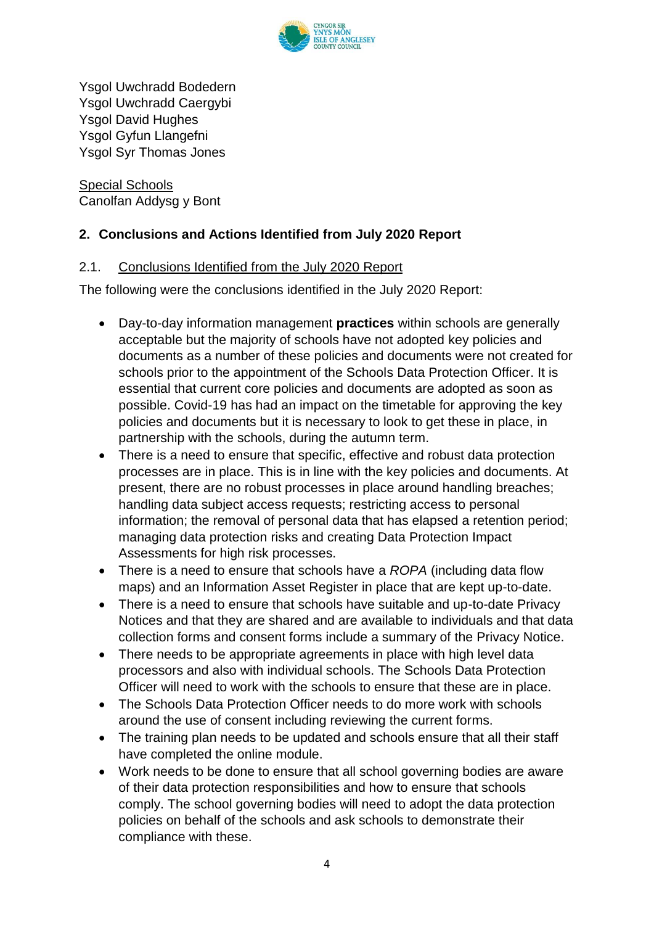

Ysgol Uwchradd Bodedern Ysgol Uwchradd Caergybi Ysgol David Hughes Ysgol Gyfun Llangefni Ysgol Syr Thomas Jones

Special Schools Canolfan Addysg y Bont

#### **2. Conclusions and Actions Identified from July 2020 Report**

#### 2.1. Conclusions Identified from the July 2020 Report

The following were the conclusions identified in the July 2020 Report:

- Day-to-day information management **practices** within schools are generally acceptable but the majority of schools have not adopted key policies and documents as a number of these policies and documents were not created for schools prior to the appointment of the Schools Data Protection Officer. It is essential that current core policies and documents are adopted as soon as possible. Covid-19 has had an impact on the timetable for approving the key policies and documents but it is necessary to look to get these in place, in partnership with the schools, during the autumn term.
- There is a need to ensure that specific, effective and robust data protection processes are in place. This is in line with the key policies and documents. At present, there are no robust processes in place around handling breaches; handling data subject access requests; restricting access to personal information; the removal of personal data that has elapsed a retention period; managing data protection risks and creating Data Protection Impact Assessments for high risk processes.
- There is a need to ensure that schools have a *ROPA* (including data flow maps) and an Information Asset Register in place that are kept up-to-date.
- There is a need to ensure that schools have suitable and up-to-date Privacy Notices and that they are shared and are available to individuals and that data collection forms and consent forms include a summary of the Privacy Notice.
- There needs to be appropriate agreements in place with high level data processors and also with individual schools. The Schools Data Protection Officer will need to work with the schools to ensure that these are in place.
- The Schools Data Protection Officer needs to do more work with schools around the use of consent including reviewing the current forms.
- The training plan needs to be updated and schools ensure that all their staff have completed the online module.
- Work needs to be done to ensure that all school governing bodies are aware of their data protection responsibilities and how to ensure that schools comply. The school governing bodies will need to adopt the data protection policies on behalf of the schools and ask schools to demonstrate their compliance with these.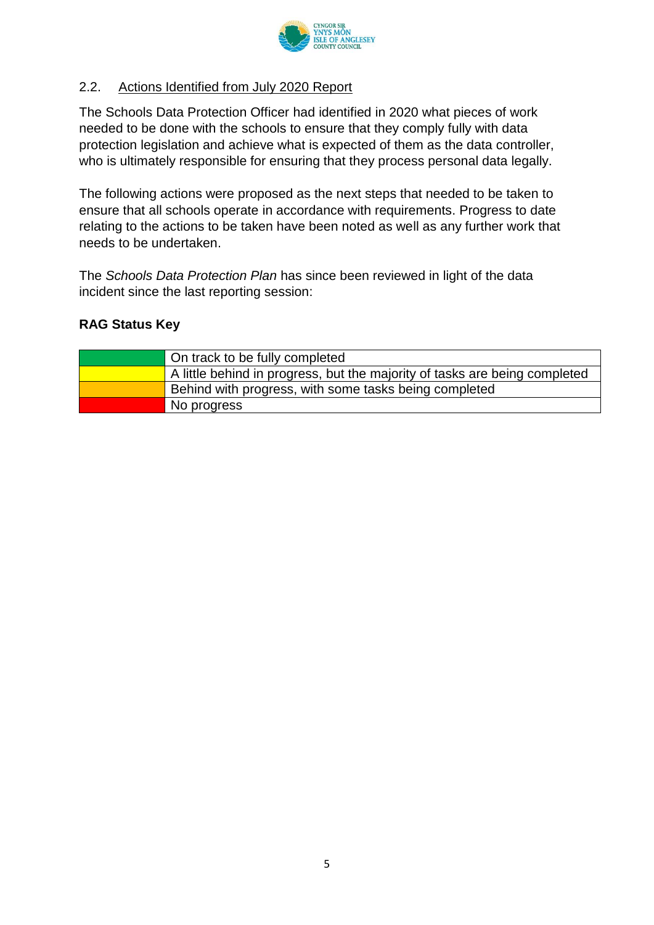

#### 2.2. Actions Identified from July 2020 Report

The Schools Data Protection Officer had identified in 2020 what pieces of work needed to be done with the schools to ensure that they comply fully with data protection legislation and achieve what is expected of them as the data controller, who is ultimately responsible for ensuring that they process personal data legally.

The following actions were proposed as the next steps that needed to be taken to ensure that all schools operate in accordance with requirements. Progress to date relating to the actions to be taken have been noted as well as any further work that needs to be undertaken.

The *Schools Data Protection Plan* has since been reviewed in light of the data incident since the last reporting session:

#### **RAG Status Key**

| <b>△ On track to be fully completed</b>                                    |
|----------------------------------------------------------------------------|
| A little behind in progress, but the majority of tasks are being completed |
| Behind with progress, with some tasks being completed                      |
| No progress                                                                |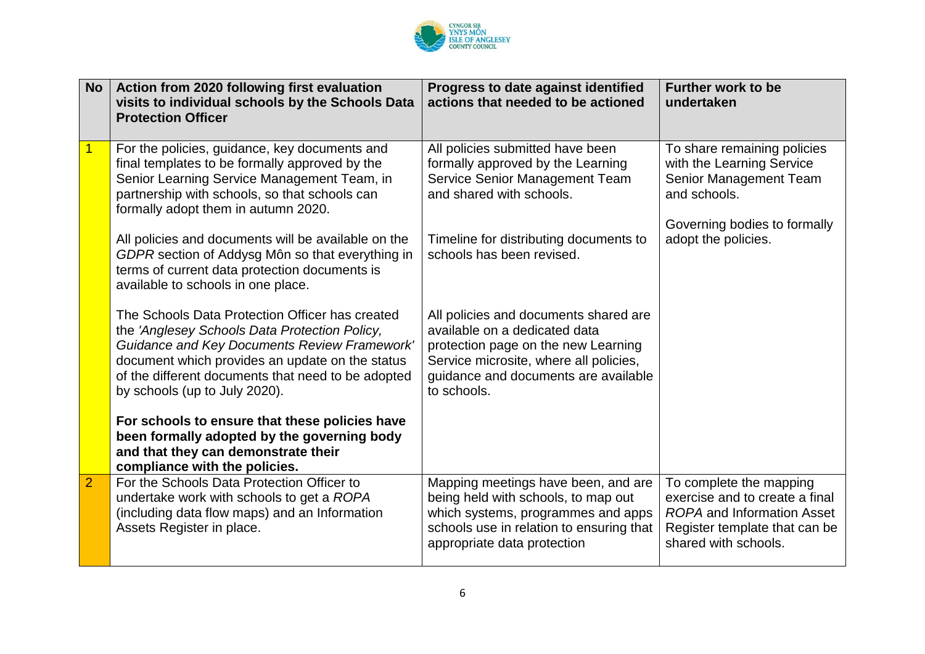

| <b>No</b>      | Action from 2020 following first evaluation<br>visits to individual schools by the Schools Data<br><b>Protection Officer</b>                                                                                                                                                                      | Progress to date against identified<br>actions that needed to be actioned                                                                                                                                      | Further work to be<br>undertaken                                                                                                                        |
|----------------|---------------------------------------------------------------------------------------------------------------------------------------------------------------------------------------------------------------------------------------------------------------------------------------------------|----------------------------------------------------------------------------------------------------------------------------------------------------------------------------------------------------------------|---------------------------------------------------------------------------------------------------------------------------------------------------------|
| 1              | For the policies, guidance, key documents and<br>final templates to be formally approved by the<br>Senior Learning Service Management Team, in<br>partnership with schools, so that schools can<br>formally adopt them in autumn 2020.                                                            | All policies submitted have been<br>formally approved by the Learning<br>Service Senior Management Team<br>and shared with schools.                                                                            | To share remaining policies<br>with the Learning Service<br>Senior Management Team<br>and schools.<br>Governing bodies to formally                      |
|                | All policies and documents will be available on the<br>GDPR section of Addysg Môn so that everything in<br>terms of current data protection documents is<br>available to schools in one place.                                                                                                    | Timeline for distributing documents to<br>schools has been revised.                                                                                                                                            | adopt the policies.                                                                                                                                     |
|                | The Schools Data Protection Officer has created<br>the 'Anglesey Schools Data Protection Policy,<br><b>Guidance and Key Documents Review Framework'</b><br>document which provides an update on the status<br>of the different documents that need to be adopted<br>by schools (up to July 2020). | All policies and documents shared are<br>available on a dedicated data<br>protection page on the new Learning<br>Service microsite, where all policies,<br>quidance and documents are available<br>to schools. |                                                                                                                                                         |
|                | For schools to ensure that these policies have<br>been formally adopted by the governing body<br>and that they can demonstrate their<br>compliance with the policies.                                                                                                                             |                                                                                                                                                                                                                |                                                                                                                                                         |
| $\overline{2}$ | For the Schools Data Protection Officer to<br>undertake work with schools to get a ROPA<br>(including data flow maps) and an Information<br>Assets Register in place.                                                                                                                             | Mapping meetings have been, and are<br>being held with schools, to map out<br>which systems, programmes and apps<br>schools use in relation to ensuring that<br>appropriate data protection                    | To complete the mapping<br>exercise and to create a final<br><b>ROPA</b> and Information Asset<br>Register template that can be<br>shared with schools. |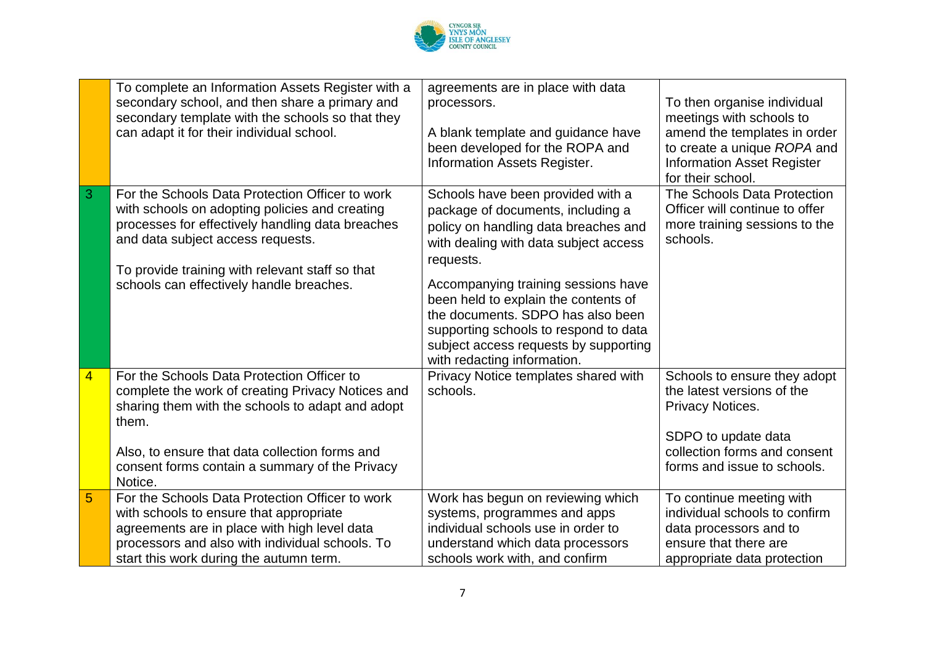

|                         | To complete an Information Assets Register with a<br>secondary school, and then share a primary and<br>secondary template with the schools so that they<br>can adapt it for their individual school.                                                                                      | agreements are in place with data<br>processors.<br>A blank template and guidance have<br>been developed for the ROPA and<br>Information Assets Register.                                                                                                                                                                                                                                                 | To then organise individual<br>meetings with schools to<br>amend the templates in order<br>to create a unique ROPA and<br><b>Information Asset Register</b>          |
|-------------------------|-------------------------------------------------------------------------------------------------------------------------------------------------------------------------------------------------------------------------------------------------------------------------------------------|-----------------------------------------------------------------------------------------------------------------------------------------------------------------------------------------------------------------------------------------------------------------------------------------------------------------------------------------------------------------------------------------------------------|----------------------------------------------------------------------------------------------------------------------------------------------------------------------|
| 3                       | For the Schools Data Protection Officer to work<br>with schools on adopting policies and creating<br>processes for effectively handling data breaches<br>and data subject access requests.<br>To provide training with relevant staff so that<br>schools can effectively handle breaches. | Schools have been provided with a<br>package of documents, including a<br>policy on handling data breaches and<br>with dealing with data subject access<br>requests.<br>Accompanying training sessions have<br>been held to explain the contents of<br>the documents. SDPO has also been<br>supporting schools to respond to data<br>subject access requests by supporting<br>with redacting information. | for their school.<br>The Schools Data Protection<br>Officer will continue to offer<br>more training sessions to the<br>schools.                                      |
| $\overline{\mathbf{4}}$ | For the Schools Data Protection Officer to<br>complete the work of creating Privacy Notices and<br>sharing them with the schools to adapt and adopt<br>them.<br>Also, to ensure that data collection forms and<br>consent forms contain a summary of the Privacy<br>Notice.               | Privacy Notice templates shared with<br>schools.                                                                                                                                                                                                                                                                                                                                                          | Schools to ensure they adopt<br>the latest versions of the<br>Privacy Notices.<br>SDPO to update data<br>collection forms and consent<br>forms and issue to schools. |
| 5                       | For the Schools Data Protection Officer to work<br>with schools to ensure that appropriate<br>agreements are in place with high level data<br>processors and also with individual schools. To<br>start this work during the autumn term.                                                  | Work has begun on reviewing which<br>systems, programmes and apps<br>individual schools use in order to<br>understand which data processors<br>schools work with, and confirm                                                                                                                                                                                                                             | To continue meeting with<br>individual schools to confirm<br>data processors and to<br>ensure that there are<br>appropriate data protection                          |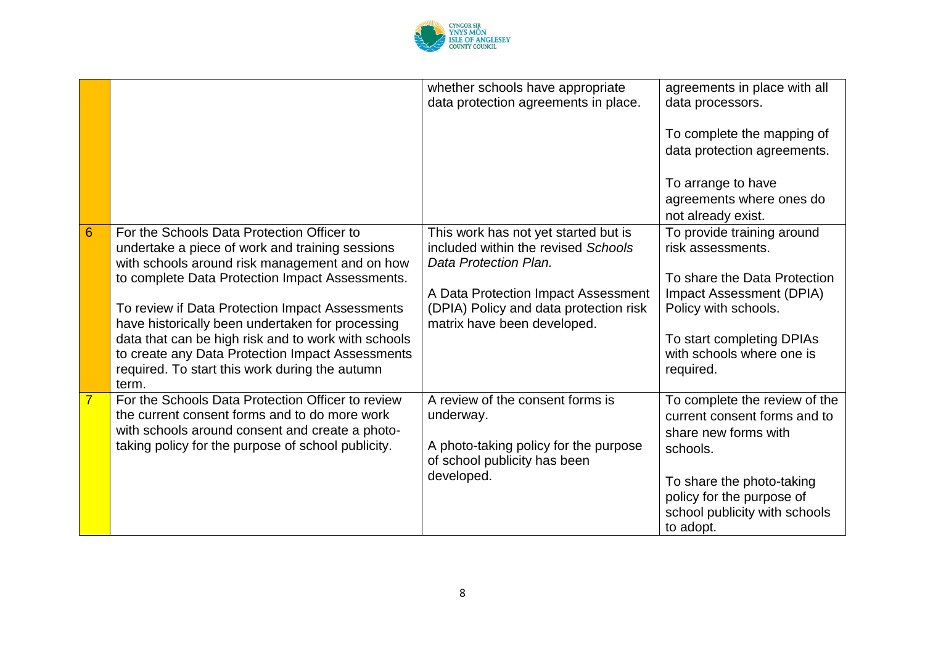

|                |                                                                                                                                                             | whether schools have appropriate<br>data protection agreements in place.                             | agreements in place with all<br>data processors.                                                     |
|----------------|-------------------------------------------------------------------------------------------------------------------------------------------------------------|------------------------------------------------------------------------------------------------------|------------------------------------------------------------------------------------------------------|
|                |                                                                                                                                                             |                                                                                                      | To complete the mapping of<br>data protection agreements.                                            |
|                |                                                                                                                                                             |                                                                                                      | To arrange to have<br>agreements where ones do<br>not already exist.                                 |
| 6              | For the Schools Data Protection Officer to<br>undertake a piece of work and training sessions<br>with schools around risk management and on how             | This work has not yet started but is<br>included within the revised Schools<br>Data Protection Plan. | To provide training around<br>risk assessments.                                                      |
|                | to complete Data Protection Impact Assessments.<br>To review if Data Protection Impact Assessments                                                          | A Data Protection Impact Assessment<br>(DPIA) Policy and data protection risk                        | To share the Data Protection<br>Impact Assessment (DPIA)<br>Policy with schools.                     |
|                | have historically been undertaken for processing<br>data that can be high risk and to work with schools<br>to create any Data Protection Impact Assessments | matrix have been developed.                                                                          | To start completing DPIAs<br>with schools where one is                                               |
|                | required. To start this work during the autumn<br>term.                                                                                                     |                                                                                                      | required.                                                                                            |
| $\overline{7}$ | For the Schools Data Protection Officer to review<br>the current consent forms and to do more work<br>with schools around consent and create a photo-       | A review of the consent forms is<br>underway.                                                        | To complete the review of the<br>current consent forms and to<br>share new forms with                |
|                | taking policy for the purpose of school publicity.                                                                                                          | A photo-taking policy for the purpose<br>of school publicity has been                                | schools.                                                                                             |
|                |                                                                                                                                                             | developed.                                                                                           | To share the photo-taking<br>policy for the purpose of<br>school publicity with schools<br>to adopt. |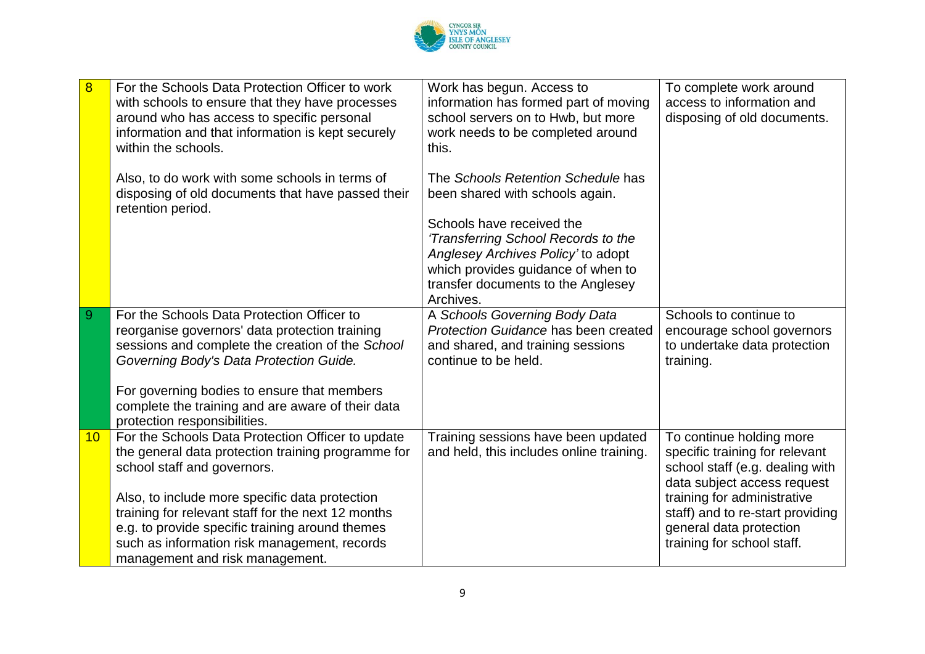

| 8  | For the Schools Data Protection Officer to work<br>with schools to ensure that they have processes<br>around who has access to specific personal<br>information and that information is kept securely<br>within the schools.               | Work has begun. Access to<br>information has formed part of moving<br>school servers on to Hwb, but more<br>work needs to be completed around<br>this.                                          | To complete work around<br>access to information and<br>disposing of old documents.                                          |
|----|--------------------------------------------------------------------------------------------------------------------------------------------------------------------------------------------------------------------------------------------|-------------------------------------------------------------------------------------------------------------------------------------------------------------------------------------------------|------------------------------------------------------------------------------------------------------------------------------|
|    | Also, to do work with some schools in terms of<br>disposing of old documents that have passed their<br>retention period.                                                                                                                   | The Schools Retention Schedule has<br>been shared with schools again.                                                                                                                           |                                                                                                                              |
|    |                                                                                                                                                                                                                                            | Schools have received the<br>'Transferring School Records to the<br>Anglesey Archives Policy' to adopt<br>which provides guidance of when to<br>transfer documents to the Anglesey<br>Archives. |                                                                                                                              |
| 9  | For the Schools Data Protection Officer to<br>reorganise governors' data protection training<br>sessions and complete the creation of the School<br>Governing Body's Data Protection Guide.                                                | A Schools Governing Body Data<br>Protection Guidance has been created<br>and shared, and training sessions<br>continue to be held.                                                              | Schools to continue to<br>encourage school governors<br>to undertake data protection<br>training.                            |
|    | For governing bodies to ensure that members<br>complete the training and are aware of their data<br>protection responsibilities.                                                                                                           |                                                                                                                                                                                                 |                                                                                                                              |
| 10 | For the Schools Data Protection Officer to update<br>the general data protection training programme for<br>school staff and governors.                                                                                                     | Training sessions have been updated<br>and held, this includes online training.                                                                                                                 | To continue holding more<br>specific training for relevant<br>school staff (e.g. dealing with<br>data subject access request |
|    | Also, to include more specific data protection<br>training for relevant staff for the next 12 months<br>e.g. to provide specific training around themes<br>such as information risk management, records<br>management and risk management. |                                                                                                                                                                                                 | training for administrative<br>staff) and to re-start providing<br>general data protection<br>training for school staff.     |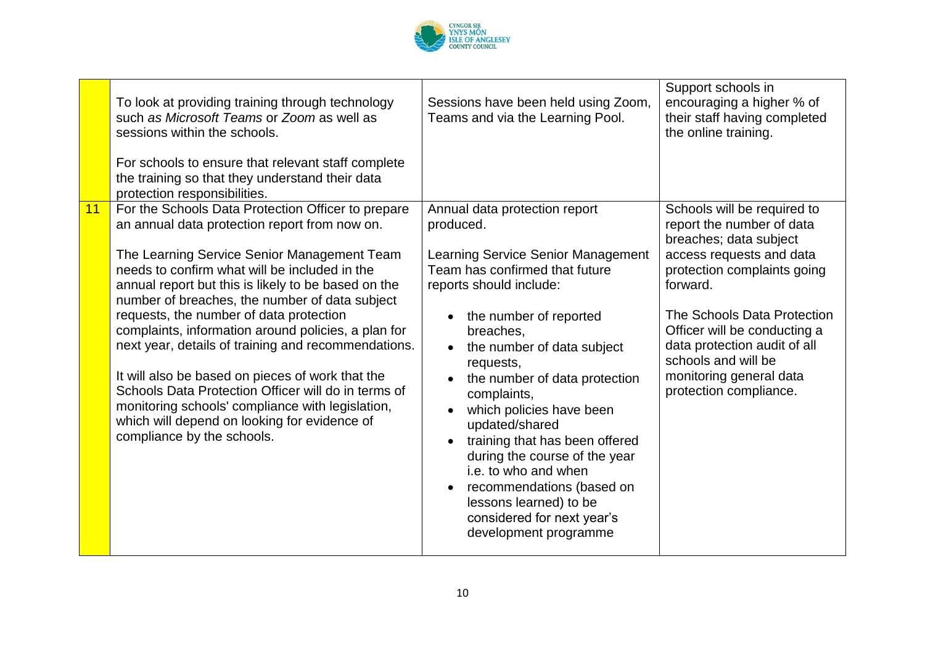

|    | To look at providing training through technology<br>such as Microsoft Teams or Zoom as well as<br>sessions within the schools.<br>For schools to ensure that relevant staff complete<br>the training so that they understand their data<br>protection responsibilities.                                                                                                                                                                                                                                                                                                                                                                                                                                            | Sessions have been held using Zoom,<br>Teams and via the Learning Pool.                                                                                                                                                                                                                                                                                                                                                                                                                                                                | Support schools in<br>encouraging a higher % of<br>their staff having completed<br>the online training.                                                                                                                                                                                                                              |
|----|--------------------------------------------------------------------------------------------------------------------------------------------------------------------------------------------------------------------------------------------------------------------------------------------------------------------------------------------------------------------------------------------------------------------------------------------------------------------------------------------------------------------------------------------------------------------------------------------------------------------------------------------------------------------------------------------------------------------|----------------------------------------------------------------------------------------------------------------------------------------------------------------------------------------------------------------------------------------------------------------------------------------------------------------------------------------------------------------------------------------------------------------------------------------------------------------------------------------------------------------------------------------|--------------------------------------------------------------------------------------------------------------------------------------------------------------------------------------------------------------------------------------------------------------------------------------------------------------------------------------|
| 11 | For the Schools Data Protection Officer to prepare<br>an annual data protection report from now on.<br>The Learning Service Senior Management Team<br>needs to confirm what will be included in the<br>annual report but this is likely to be based on the<br>number of breaches, the number of data subject<br>requests, the number of data protection<br>complaints, information around policies, a plan for<br>next year, details of training and recommendations.<br>It will also be based on pieces of work that the<br>Schools Data Protection Officer will do in terms of<br>monitoring schools' compliance with legislation,<br>which will depend on looking for evidence of<br>compliance by the schools. | Annual data protection report<br>produced.<br>Learning Service Senior Management<br>Team has confirmed that future<br>reports should include:<br>the number of reported<br>breaches,<br>the number of data subject<br>requests,<br>the number of data protection<br>complaints,<br>which policies have been<br>updated/shared<br>training that has been offered<br>during the course of the year<br>i.e. to who and when<br>recommendations (based on<br>lessons learned) to be<br>considered for next year's<br>development programme | Schools will be required to<br>report the number of data<br>breaches; data subject<br>access requests and data<br>protection complaints going<br>forward.<br>The Schools Data Protection<br>Officer will be conducting a<br>data protection audit of all<br>schools and will be<br>monitoring general data<br>protection compliance. |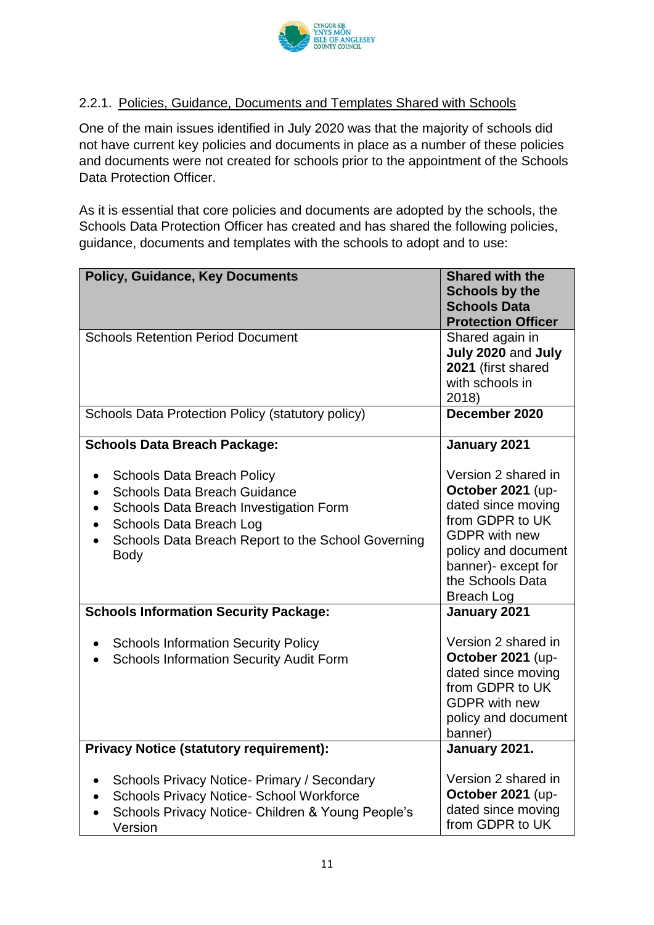

#### 2.2.1. Policies, Guidance, Documents and Templates Shared with Schools

One of the main issues identified in July 2020 was that the majority of schools did not have current key policies and documents in place as a number of these policies and documents were not created for schools prior to the appointment of the Schools Data Protection Officer.

As it is essential that core policies and documents are adopted by the schools, the Schools Data Protection Officer has created and has shared the following policies, guidance, documents and templates with the schools to adopt and to use:

| <b>Policy, Guidance, Key Documents</b>                                                                                                                                                                             | <b>Shared with the</b><br><b>Schools by the</b><br><b>Schools Data</b><br><b>Protection Officer</b>                                                                                              |
|--------------------------------------------------------------------------------------------------------------------------------------------------------------------------------------------------------------------|--------------------------------------------------------------------------------------------------------------------------------------------------------------------------------------------------|
| <b>Schools Retention Period Document</b>                                                                                                                                                                           | Shared again in<br>July 2020 and July<br>2021 (first shared<br>with schools in<br>2018)                                                                                                          |
| Schools Data Protection Policy (statutory policy)                                                                                                                                                                  | December 2020                                                                                                                                                                                    |
| <b>Schools Data Breach Package:</b>                                                                                                                                                                                | January 2021                                                                                                                                                                                     |
| <b>Schools Data Breach Policy</b><br><b>Schools Data Breach Guidance</b><br>Schools Data Breach Investigation Form<br>Schools Data Breach Log<br>Schools Data Breach Report to the School Governing<br><b>Body</b> | Version 2 shared in<br>October 2021 (up-<br>dated since moving<br>from GDPR to UK<br><b>GDPR</b> with new<br>policy and document<br>banner)- except for<br>the Schools Data<br><b>Breach Log</b> |
| <b>Schools Information Security Package:</b>                                                                                                                                                                       | January 2021                                                                                                                                                                                     |
| <b>Schools Information Security Policy</b><br><b>Schools Information Security Audit Form</b>                                                                                                                       | Version 2 shared in<br>October 2021 (up-<br>dated since moving<br>from GDPR to UK<br><b>GDPR</b> with new<br>policy and document<br>banner)                                                      |
| <b>Privacy Notice (statutory requirement):</b>                                                                                                                                                                     | January 2021.                                                                                                                                                                                    |
| Schools Privacy Notice- Primary / Secondary<br><b>Schools Privacy Notice- School Workforce</b><br>Schools Privacy Notice- Children & Young People's<br>Version                                                     | Version 2 shared in<br>October 2021 (up-<br>dated since moving<br>from GDPR to UK                                                                                                                |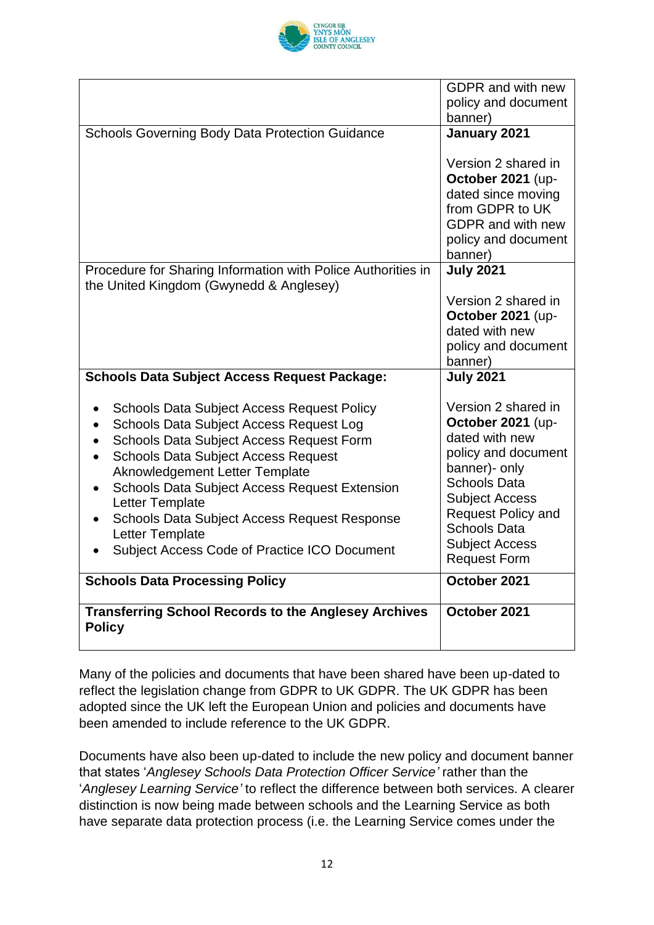

|                                                                                                                                                                                                                                                                                                                                                                                                                                     | <b>GDPR</b> and with new<br>policy and document<br>banner)                                                                                                                                                                                             |
|-------------------------------------------------------------------------------------------------------------------------------------------------------------------------------------------------------------------------------------------------------------------------------------------------------------------------------------------------------------------------------------------------------------------------------------|--------------------------------------------------------------------------------------------------------------------------------------------------------------------------------------------------------------------------------------------------------|
| <b>Schools Governing Body Data Protection Guidance</b>                                                                                                                                                                                                                                                                                                                                                                              | January 2021                                                                                                                                                                                                                                           |
|                                                                                                                                                                                                                                                                                                                                                                                                                                     | Version 2 shared in<br>October 2021 (up-<br>dated since moving<br>from GDPR to UK<br><b>GDPR</b> and with new<br>policy and document<br>banner)                                                                                                        |
| Procedure for Sharing Information with Police Authorities in<br>the United Kingdom (Gwynedd & Anglesey)                                                                                                                                                                                                                                                                                                                             | <b>July 2021</b>                                                                                                                                                                                                                                       |
|                                                                                                                                                                                                                                                                                                                                                                                                                                     | Version 2 shared in<br>October 2021 (up-<br>dated with new<br>policy and document<br>banner)                                                                                                                                                           |
| <b>Schools Data Subject Access Request Package:</b>                                                                                                                                                                                                                                                                                                                                                                                 | <b>July 2021</b>                                                                                                                                                                                                                                       |
| <b>Schools Data Subject Access Request Policy</b><br>Schools Data Subject Access Request Log<br>Schools Data Subject Access Request Form<br><b>Schools Data Subject Access Request</b><br>$\bullet$<br>Aknowledgement Letter Template<br><b>Schools Data Subject Access Request Extension</b><br>Letter Template<br>Schools Data Subject Access Request Response<br>Letter Template<br>Subject Access Code of Practice ICO Document | Version 2 shared in<br>October 2021 (up-<br>dated with new<br>policy and document<br>banner)- only<br><b>Schools Data</b><br><b>Subject Access</b><br><b>Request Policy and</b><br><b>Schools Data</b><br><b>Subject Access</b><br><b>Request Form</b> |
| <b>Schools Data Processing Policy</b>                                                                                                                                                                                                                                                                                                                                                                                               | October 2021                                                                                                                                                                                                                                           |
| <b>Transferring School Records to the Anglesey Archives</b><br><b>Policy</b>                                                                                                                                                                                                                                                                                                                                                        | October 2021                                                                                                                                                                                                                                           |

Many of the policies and documents that have been shared have been up-dated to reflect the legislation change from GDPR to UK GDPR. The UK GDPR has been adopted since the UK left the European Union and policies and documents have been amended to include reference to the UK GDPR.

Documents have also been up-dated to include the new policy and document banner that states '*Anglesey Schools Data Protection Officer Service'* rather than the '*Anglesey Learning Service'* to reflect the difference between both services. A clearer distinction is now being made between schools and the Learning Service as both have separate data protection process (i.e. the Learning Service comes under the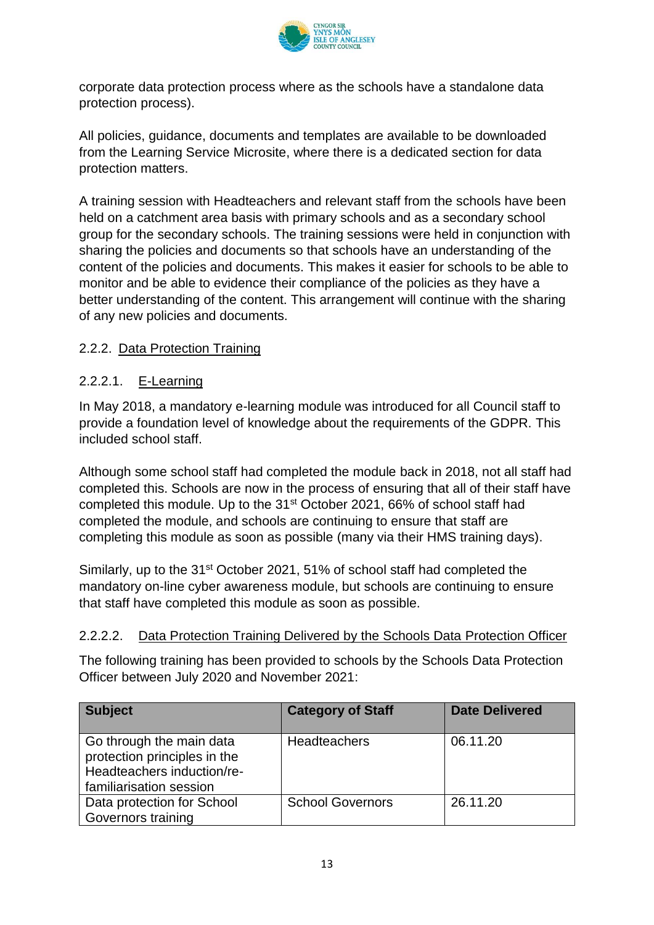

corporate data protection process where as the schools have a standalone data protection process).

All policies, guidance, documents and templates are available to be downloaded from the Learning Service Microsite, where there is a dedicated section for data protection matters.

A training session with Headteachers and relevant staff from the schools have been held on a catchment area basis with primary schools and as a secondary school group for the secondary schools. The training sessions were held in conjunction with sharing the policies and documents so that schools have an understanding of the content of the policies and documents. This makes it easier for schools to be able to monitor and be able to evidence their compliance of the policies as they have a better understanding of the content. This arrangement will continue with the sharing of any new policies and documents.

#### 2.2.2. Data Protection Training

#### 2.2.2.1. E-Learning

In May 2018, a mandatory e-learning module was introduced for all Council staff to provide a foundation level of knowledge about the requirements of the GDPR. This included school staff.

Although some school staff had completed the module back in 2018, not all staff had completed this. Schools are now in the process of ensuring that all of their staff have completed this module. Up to the 31st October 2021, 66% of school staff had completed the module, and schools are continuing to ensure that staff are completing this module as soon as possible (many via their HMS training days).

Similarly, up to the 31<sup>st</sup> October 2021, 51% of school staff had completed the mandatory on-line cyber awareness module, but schools are continuing to ensure that staff have completed this module as soon as possible.

#### 2.2.2.2. Data Protection Training Delivered by the Schools Data Protection Officer

The following training has been provided to schools by the Schools Data Protection Officer between July 2020 and November 2021:

| <b>Subject</b>                                                                                                    | <b>Category of Staff</b> | <b>Date Delivered</b> |
|-------------------------------------------------------------------------------------------------------------------|--------------------------|-----------------------|
| Go through the main data<br>protection principles in the<br>Headteachers induction/re-<br>familiarisation session | Headteachers             | 06.11.20              |
| Data protection for School<br>Governors training                                                                  | <b>School Governors</b>  | 26.11.20              |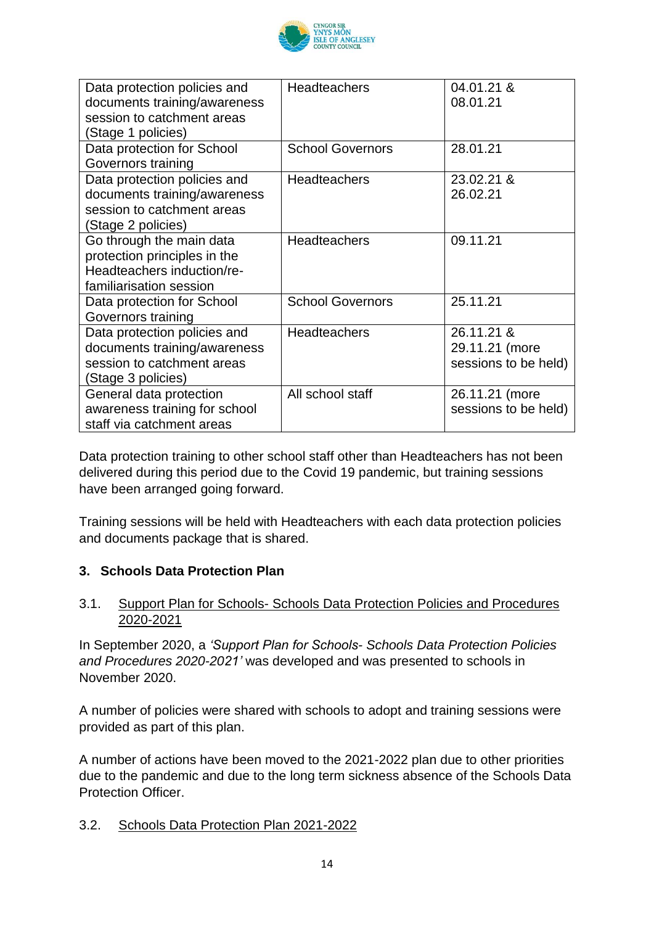

| Data protection policies and<br>documents training/awareness<br>session to catchment areas<br>(Stage 1 policies)  | <b>Headteachers</b>     | 04.01.21 &<br>08.01.21                               |
|-------------------------------------------------------------------------------------------------------------------|-------------------------|------------------------------------------------------|
| Data protection for School<br>Governors training                                                                  | <b>School Governors</b> | 28.01.21                                             |
| Data protection policies and<br>documents training/awareness<br>session to catchment areas<br>(Stage 2 policies)  | <b>Headteachers</b>     | 23.02.21 &<br>26.02.21                               |
| Go through the main data<br>protection principles in the<br>Headteachers induction/re-<br>familiarisation session | Headteachers            | 09.11.21                                             |
| Data protection for School<br>Governors training                                                                  | <b>School Governors</b> | 25.11.21                                             |
| Data protection policies and<br>documents training/awareness<br>session to catchment areas<br>(Stage 3 policies)  | <b>Headteachers</b>     | 26.11.21 &<br>29.11.21 (more<br>sessions to be held) |
| General data protection<br>awareness training for school<br>staff via catchment areas                             | All school staff        | 26.11.21 (more<br>sessions to be held)               |

Data protection training to other school staff other than Headteachers has not been delivered during this period due to the Covid 19 pandemic, but training sessions have been arranged going forward.

Training sessions will be held with Headteachers with each data protection policies and documents package that is shared.

#### **3. Schools Data Protection Plan**

#### 3.1. Support Plan for Schools- Schools Data Protection Policies and Procedures 2020-2021

In September 2020, a *'Support Plan for Schools- Schools Data Protection Policies and Procedures 2020-2021'* was developed and was presented to schools in November 2020.

A number of policies were shared with schools to adopt and training sessions were provided as part of this plan.

A number of actions have been moved to the 2021-2022 plan due to other priorities due to the pandemic and due to the long term sickness absence of the Schools Data Protection Officer.

#### 3.2. Schools Data Protection Plan 2021-2022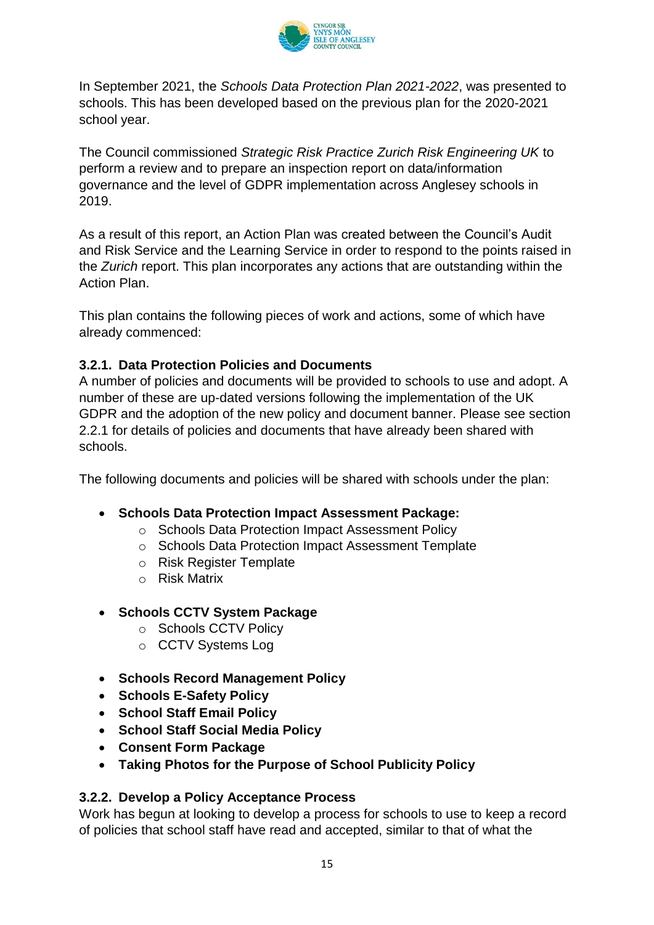

In September 2021, the *Schools Data Protection Plan 2021-2022*, was presented to schools. This has been developed based on the previous plan for the 2020-2021 school year.

The Council commissioned *Strategic Risk Practice Zurich Risk Engineering UK* to perform a review and to prepare an inspection report on data/information governance and the level of GDPR implementation across Anglesey schools in 2019.

As a result of this report, an Action Plan was created between the Council's Audit and Risk Service and the Learning Service in order to respond to the points raised in the *Zurich* report. This plan incorporates any actions that are outstanding within the Action Plan.

This plan contains the following pieces of work and actions, some of which have already commenced:

#### **3.2.1. Data Protection Policies and Documents**

A number of policies and documents will be provided to schools to use and adopt. A number of these are up-dated versions following the implementation of the UK GDPR and the adoption of the new policy and document banner. Please see section 2.2.1 for details of policies and documents that have already been shared with schools.

The following documents and policies will be shared with schools under the plan:

- **Schools Data Protection Impact Assessment Package:**
	- o Schools Data Protection Impact Assessment Policy
	- o Schools Data Protection Impact Assessment Template
	- o Risk Register Template
	- o Risk Matrix
- **Schools CCTV System Package** 
	- o Schools CCTV Policy
	- o CCTV Systems Log
- **Schools Record Management Policy**
- **Schools E-Safety Policy**
- **School Staff Email Policy**
- **School Staff Social Media Policy**
- **Consent Form Package**
- **Taking Photos for the Purpose of School Publicity Policy**

#### **3.2.2. Develop a Policy Acceptance Process**

Work has begun at looking to develop a process for schools to use to keep a record of policies that school staff have read and accepted, similar to that of what the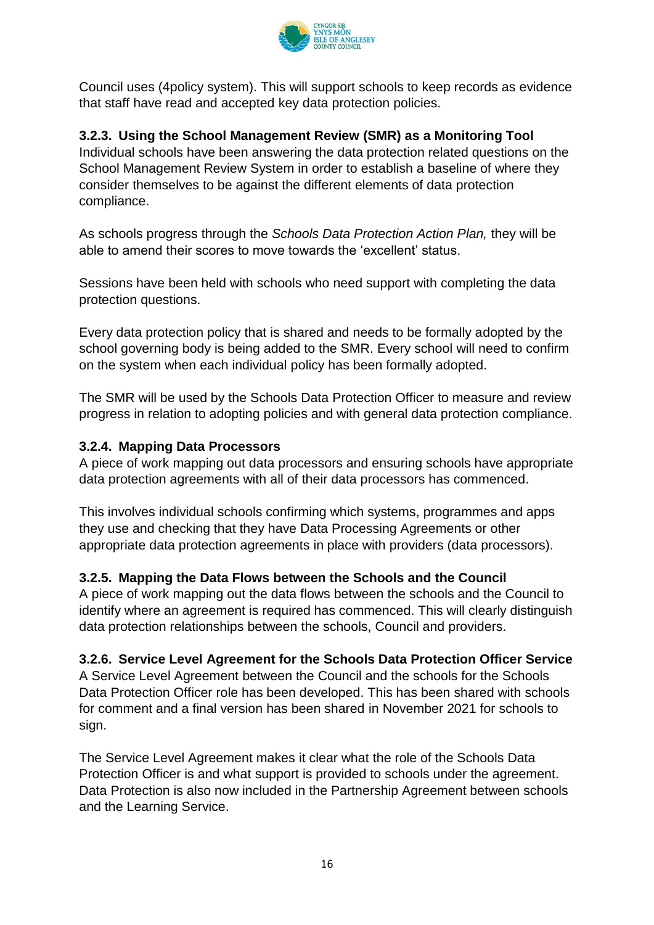

Council uses (4policy system). This will support schools to keep records as evidence that staff have read and accepted key data protection policies.

#### **3.2.3. Using the School Management Review (SMR) as a Monitoring Tool**

Individual schools have been answering the data protection related questions on the School Management Review System in order to establish a baseline of where they consider themselves to be against the different elements of data protection compliance.

As schools progress through the *Schools Data Protection Action Plan,* they will be able to amend their scores to move towards the 'excellent' status.

Sessions have been held with schools who need support with completing the data protection questions.

Every data protection policy that is shared and needs to be formally adopted by the school governing body is being added to the SMR. Every school will need to confirm on the system when each individual policy has been formally adopted.

The SMR will be used by the Schools Data Protection Officer to measure and review progress in relation to adopting policies and with general data protection compliance.

#### **3.2.4. Mapping Data Processors**

A piece of work mapping out data processors and ensuring schools have appropriate data protection agreements with all of their data processors has commenced.

This involves individual schools confirming which systems, programmes and apps they use and checking that they have Data Processing Agreements or other appropriate data protection agreements in place with providers (data processors).

#### **3.2.5. Mapping the Data Flows between the Schools and the Council**

A piece of work mapping out the data flows between the schools and the Council to identify where an agreement is required has commenced. This will clearly distinguish data protection relationships between the schools, Council and providers.

#### **3.2.6. Service Level Agreement for the Schools Data Protection Officer Service**

A Service Level Agreement between the Council and the schools for the Schools Data Protection Officer role has been developed. This has been shared with schools for comment and a final version has been shared in November 2021 for schools to sign.

The Service Level Agreement makes it clear what the role of the Schools Data Protection Officer is and what support is provided to schools under the agreement. Data Protection is also now included in the Partnership Agreement between schools and the Learning Service.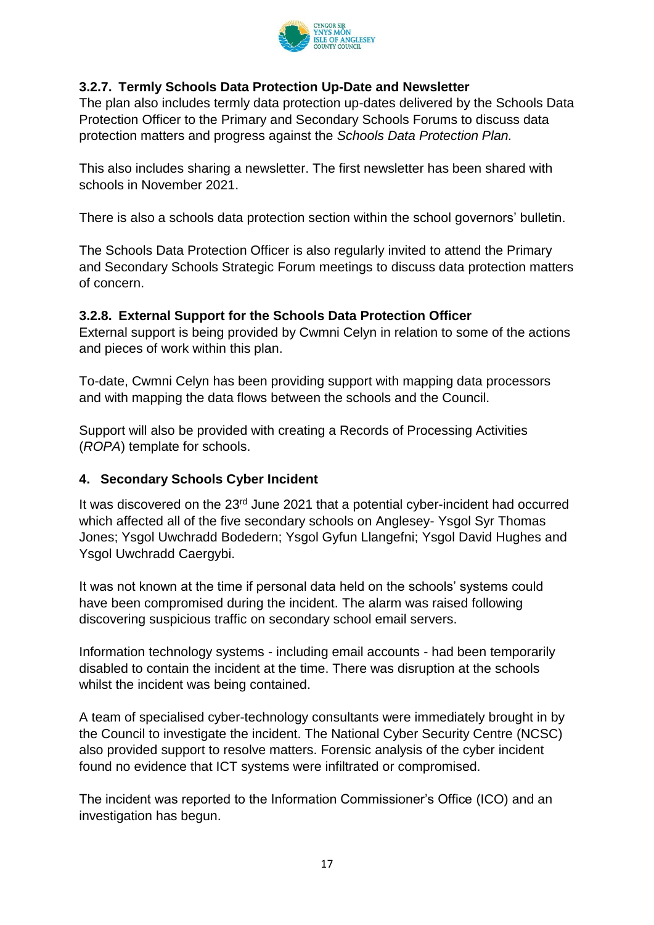

#### **3.2.7. Termly Schools Data Protection Up-Date and Newsletter**

The plan also includes termly data protection up-dates delivered by the Schools Data Protection Officer to the Primary and Secondary Schools Forums to discuss data protection matters and progress against the *Schools Data Protection Plan.* 

This also includes sharing a newsletter. The first newsletter has been shared with schools in November 2021.

There is also a schools data protection section within the school governors' bulletin.

The Schools Data Protection Officer is also regularly invited to attend the Primary and Secondary Schools Strategic Forum meetings to discuss data protection matters of concern.

#### **3.2.8. External Support for the Schools Data Protection Officer**

External support is being provided by Cwmni Celyn in relation to some of the actions and pieces of work within this plan.

To-date, Cwmni Celyn has been providing support with mapping data processors and with mapping the data flows between the schools and the Council.

Support will also be provided with creating a Records of Processing Activities (*ROPA*) template for schools.

#### **4. Secondary Schools Cyber Incident**

It was discovered on the 23<sup>rd</sup> June 2021 that a potential cyber-incident had occurred which affected all of the five secondary schools on Anglesey- Ysgol Syr Thomas Jones; Ysgol Uwchradd Bodedern; Ysgol Gyfun Llangefni; Ysgol David Hughes and Ysgol Uwchradd Caergybi.

It was not known at the time if personal data held on the schools' systems could have been compromised during the incident. The alarm was raised following discovering suspicious traffic on secondary school email servers.

Information technology systems - including email accounts - had been temporarily disabled to contain the incident at the time. There was disruption at the schools whilst the incident was being contained.

A team of specialised cyber-technology consultants were immediately brought in by the Council to investigate the incident. The National Cyber Security Centre (NCSC) also provided support to resolve matters. Forensic analysis of the cyber incident found no evidence that ICT systems were infiltrated or compromised.

The incident was reported to the Information Commissioner's Office (ICO) and an investigation has begun.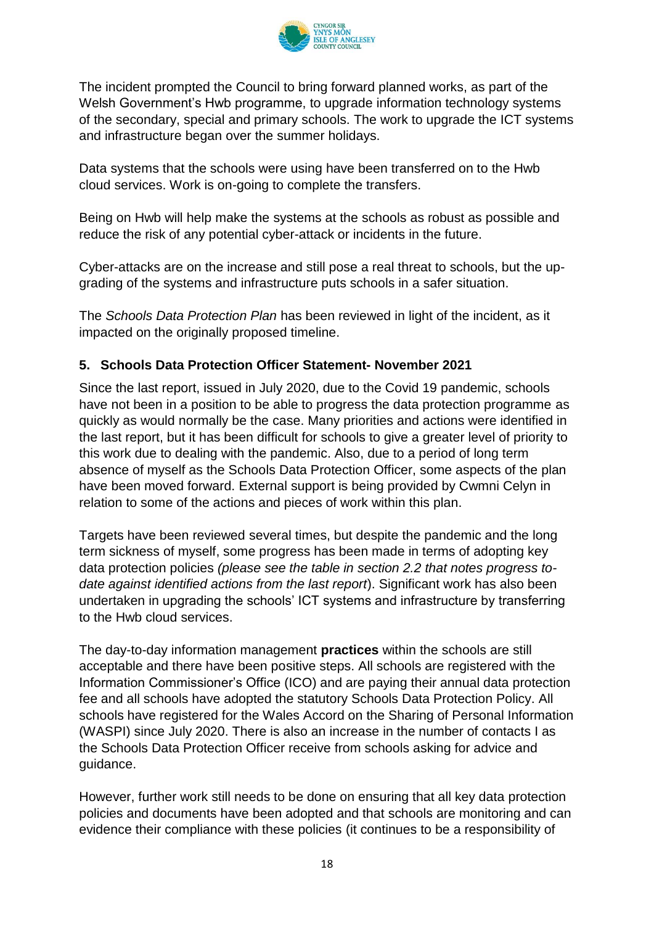

The incident prompted the Council to bring forward planned works, as part of the Welsh Government's Hwb programme, to upgrade information technology systems of the secondary, special and primary schools. The work to upgrade the ICT systems and infrastructure began over the summer holidays.

Data systems that the schools were using have been transferred on to the Hwb cloud services. Work is on-going to complete the transfers.

Being on Hwb will help make the systems at the schools as robust as possible and reduce the risk of any potential cyber-attack or incidents in the future.

Cyber-attacks are on the increase and still pose a real threat to schools, but the upgrading of the systems and infrastructure puts schools in a safer situation.

The *Schools Data Protection Plan* has been reviewed in light of the incident, as it impacted on the originally proposed timeline.

#### **5. Schools Data Protection Officer Statement- November 2021**

Since the last report, issued in July 2020, due to the Covid 19 pandemic, schools have not been in a position to be able to progress the data protection programme as quickly as would normally be the case. Many priorities and actions were identified in the last report, but it has been difficult for schools to give a greater level of priority to this work due to dealing with the pandemic. Also, due to a period of long term absence of myself as the Schools Data Protection Officer, some aspects of the plan have been moved forward. External support is being provided by Cwmni Celyn in relation to some of the actions and pieces of work within this plan.

Targets have been reviewed several times, but despite the pandemic and the long term sickness of myself, some progress has been made in terms of adopting key data protection policies *(please see the table in section 2.2 that notes progress todate against identified actions from the last report*). Significant work has also been undertaken in upgrading the schools' ICT systems and infrastructure by transferring to the Hwb cloud services.

The day-to-day information management **practices** within the schools are still acceptable and there have been positive steps. All schools are registered with the Information Commissioner's Office (ICO) and are paying their annual data protection fee and all schools have adopted the statutory Schools Data Protection Policy. All schools have registered for the Wales Accord on the Sharing of Personal Information (WASPI) since July 2020. There is also an increase in the number of contacts I as the Schools Data Protection Officer receive from schools asking for advice and guidance.

However, further work still needs to be done on ensuring that all key data protection policies and documents have been adopted and that schools are monitoring and can evidence their compliance with these policies (it continues to be a responsibility of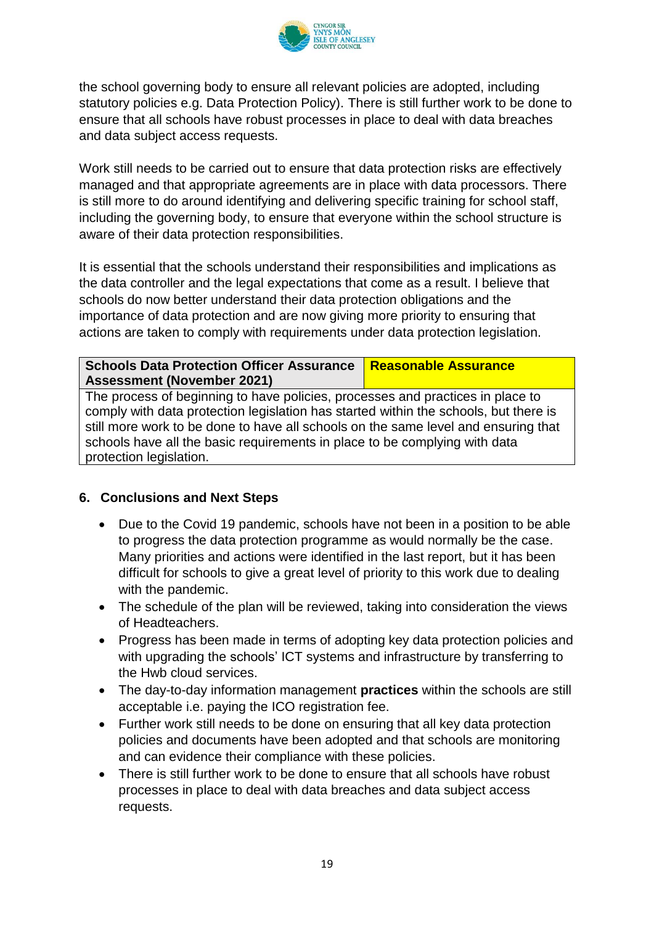

the school governing body to ensure all relevant policies are adopted, including statutory policies e.g. Data Protection Policy). There is still further work to be done to ensure that all schools have robust processes in place to deal with data breaches and data subject access requests.

Work still needs to be carried out to ensure that data protection risks are effectively managed and that appropriate agreements are in place with data processors. There is still more to do around identifying and delivering specific training for school staff, including the governing body, to ensure that everyone within the school structure is aware of their data protection responsibilities.

It is essential that the schools understand their responsibilities and implications as the data controller and the legal expectations that come as a result. I believe that schools do now better understand their data protection obligations and the importance of data protection and are now giving more priority to ensuring that actions are taken to comply with requirements under data protection legislation.

**Schools Data Protection Officer Assurance Assessment (November 2021) Reasonable Assurance**

The process of beginning to have policies, processes and practices in place to comply with data protection legislation has started within the schools, but there is still more work to be done to have all schools on the same level and ensuring that schools have all the basic requirements in place to be complying with data protection legislation.

#### **6. Conclusions and Next Steps**

- Due to the Covid 19 pandemic, schools have not been in a position to be able to progress the data protection programme as would normally be the case. Many priorities and actions were identified in the last report, but it has been difficult for schools to give a great level of priority to this work due to dealing with the pandemic.
- The schedule of the plan will be reviewed, taking into consideration the views of Headteachers.
- Progress has been made in terms of adopting key data protection policies and with upgrading the schools' ICT systems and infrastructure by transferring to the Hwb cloud services.
- The day-to-day information management **practices** within the schools are still acceptable i.e. paying the ICO registration fee.
- Further work still needs to be done on ensuring that all key data protection policies and documents have been adopted and that schools are monitoring and can evidence their compliance with these policies.
- There is still further work to be done to ensure that all schools have robust processes in place to deal with data breaches and data subject access requests.